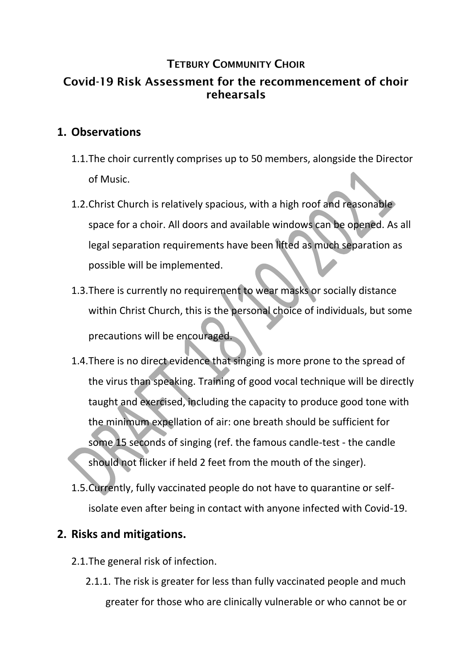## **TETBURY COMMUNITY CHOIR**

# Covid-19 Risk Assessment for the recommencement of choir rehearsals

## **1. Observations**

- 1.1.The choir currently comprises up to 50 members, alongside the Director of Music.
- 1.2.Christ Church is relatively spacious, with a high roof and reasonable space for a choir. All doors and available windows can be opened. As all legal separation requirements have been lifted as much separation as possible will be implemented.
- 1.3.There is currently no requirement to wear masks or socially distance within Christ Church, this is the personal choice of individuals, but some precautions will be encouraged.
- 1.4.There is no direct evidence that singing is more prone to the spread of the virus than speaking. Training of good vocal technique will be directly taught and exercised, including the capacity to produce good tone with the minimum expellation of air: one breath should be sufficient for some 15 seconds of singing (ref. the famous candle-test - the candle should not flicker if held 2 feet from the mouth of the singer).
- 1.5.Currently, fully vaccinated people do not have to quarantine or selfisolate even after being in contact with anyone infected with Covid-19.

## **2. Risks and mitigations.**

- 2.1.The general risk of infection.
	- 2.1.1. The risk is greater for less than fully vaccinated people and much greater for those who are clinically vulnerable or who cannot be or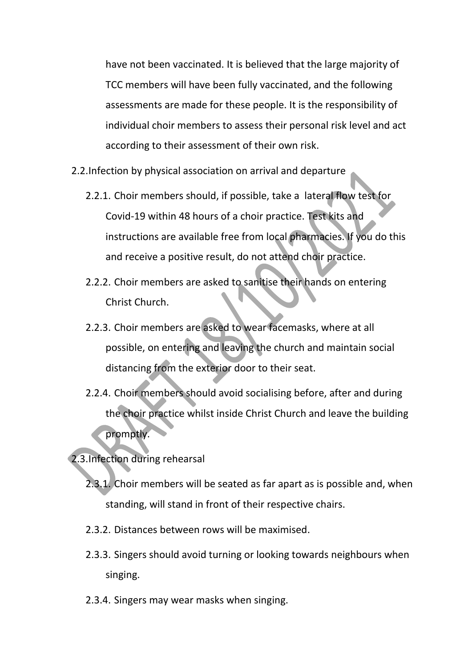have not been vaccinated. It is believed that the large majority of TCC members will have been fully vaccinated, and the following assessments are made for these people. It is the responsibility of individual choir members to assess their personal risk level and act according to their assessment of their own risk.

- 2.2.Infection by physical association on arrival and departure
	- 2.2.1. Choir members should, if possible, take a lateral flow test for Covid-19 within 48 hours of a choir practice. Test kits and instructions are available free from local pharmacies. If you do this and receive a positive result, do not attend choir practice.
	- 2.2.2. Choir members are asked to sanitise their hands on entering Christ Church.
	- 2.2.3. Choir members are asked to wear facemasks, where at all possible, on entering and leaving the church and maintain social distancing from the exterior door to their seat.
	- 2.2.4. Choir members should avoid socialising before, after and during the choir practice whilst inside Christ Church and leave the building promptly.

2.3.Infection during rehearsal

- 2.3.1. Choir members will be seated as far apart as is possible and, when standing, will stand in front of their respective chairs.
- 2.3.2. Distances between rows will be maximised.
- 2.3.3. Singers should avoid turning or looking towards neighbours when singing.
- 2.3.4. Singers may wear masks when singing.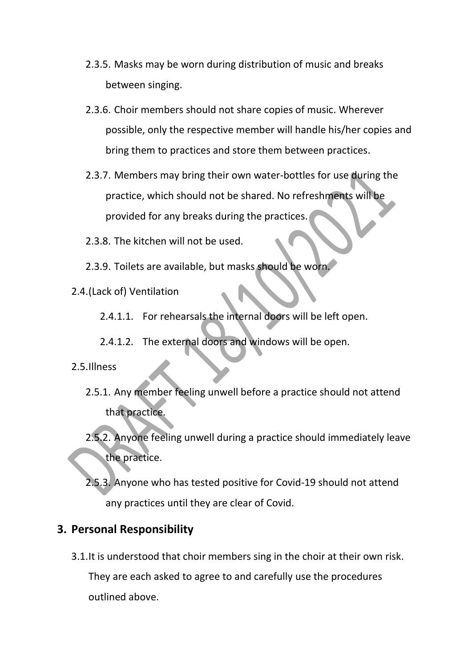- 2.3.5. Masks may be worn during distribution of music and breaks between singing.
- 2.3.6. Choir members should not share copies of music. Wherever possible, only the respective member will handle his/her copies and bring them to practices and store them between practices.
- 2.3.7. Members may bring their own water-bottles for use during the practice, which should not be shared. No refreshments will be provided for any breaks during the practices.
- 2.3.8. The kitchen will not be used.
- 2.3.9. Toilets are available, but masks should be worn.
- 2.4.(Lack of) Ventilation
	- 2.4.1.1. For rehearsals the internal doors will be left open.
	- 2.4.1.2. The external doors and windows will be open.

### 2.5.Illness

- 2.5.1. Any member feeling unwell before a practice should not attend that practice.
- 2.5.2. Anyone feeling unwell during a practice should immediately leave the practice.
- 2.5.3. Anyone who has tested positive for Covid-19 should not attend any practices until they are clear of Covid.

# **3. Personal Responsibility**

3.1.It is understood that choir members sing in the choir at their own risk. They are each asked to agree to and carefully use the procedures outlined above.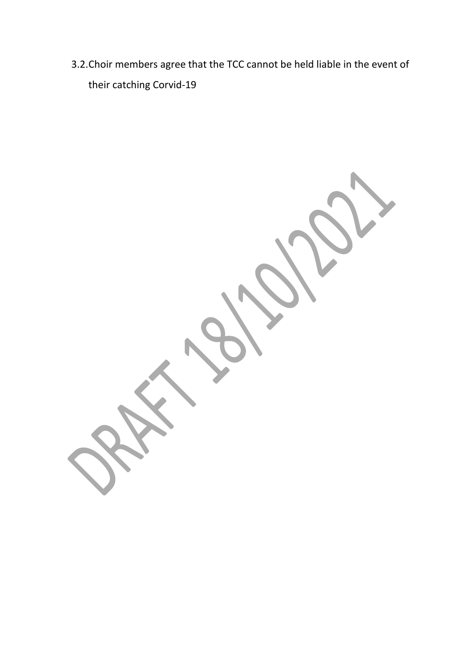3.2.Choir members agree that the TCC cannot be held liable in the event of their catching Corvid-19